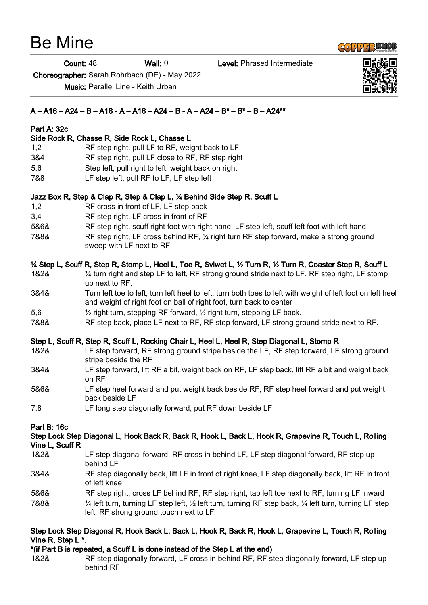# Be Mine

Count: 48 Wall: 0 Level: Phrased Intermediate

Choreographer: Sarah Rohrbach (DE) - May 2022

Music: Parallel Line - Keith Urban

# $A - A16 - A24 - B - A16 - A - A16 - A24 - B - A - A24 - B^* - B^* - B - A24^{**}$

#### Part A: 32c

#### Side Rock R, Chasse R, Side Rock L, Chasse L

- 1,2 RF step right, pull LF to RF, weight back to LF
- 3&4 RF step right, pull LF close to RF, RF step right
- 5,6 Step left, pull right to left, weight back on right
- 7&8 LF step left, pull RF to LF, LF step left

#### Jazz Box R, Step & Clap R, Step & Clap L, ¼ Behind Side Step R, Scuff L

- 1,2 RF cross in front of LF, LF step back
- 3,4 RF step right, LF cross in front of RF
- 5&6& RF step right, scuff right foot with right hand, LF step left, scuff left foot with left hand
- 7&8& RF step right, LF cross behind RF, ¼ right turn RF step forward, make a strong ground sweep with LF next to RF

# ¼ Step L, Scuff R, Step R, Stomp L, Heel L, Toe R, Sviwet L, ½ Turn R, ½ Turn R, Coaster Step R, Scuff L

- 1&2& ¼ turn right and step LF to left, RF strong ground stride next to LF, RF step right, LF stomp up next to RF.
- 3&4& Turn left toe to left, turn left heel to left, turn both toes to left with weight of left foot on left heel and weight of right foot on ball of right foot, turn back to center
- 5,6 ½ right turn, stepping RF forward, ½ right turn, stepping LF back.
- 7&8& RF step back, place LF next to RF, RF step forward, LF strong ground stride next to RF.

# Step L, Scuff R, Step R, Scuff L, Rocking Chair L, Heel L, Heel R, Step Diagonal L, Stomp R

- 1&2& LF step forward, RF strong ground stripe beside the LF, RF step forward, LF strong ground stripe beside the RF
- 3&4& LF step forward, lift RF a bit, weight back on RF, LF step back, lift RF a bit and weight back on RF
- 5&6& LF step heel forward and put weight back beside RF, RF step heel forward and put weight back beside LF
- 7,8 LF long step diagonally forward, put RF down beside LF

# Part B: 16c

#### Step Lock Step Diagonal L, Hook Back R, Back R, Hook L, Back L, Hook R, Grapevine R, Touch L, Rolling Vine L, Scuff R

- 1&2& LF step diagonal forward, RF cross in behind LF, LF step diagonal forward, RF step up behind LF
- 3&4& RF step diagonally back, lift LF in front of right knee, LF step diagonally back, lift RF in front of left knee
- 5&6& RF step right, cross LF behind RF, RF step right, tap left toe next to RF, turning LF inward
- 7&8& ¼ left turn, turning LF step left, ½ left turn, turning RF step back, ¼ left turn, turning LF step left, RF strong ground touch next to LF

#### Step Lock Step Diagonal R, Hook Back L, Back L, Hook R, Back R, Hook L, Grapevine L, Touch R, Rolling Vine R, Step L \*.

- \*(if Part B is repeated, a Scuff L is done instead of the Step L at the end)
- 1&2& RF step diagonally forward, LF cross in behind RF, RF step diagonally forward, LF step up behind RF